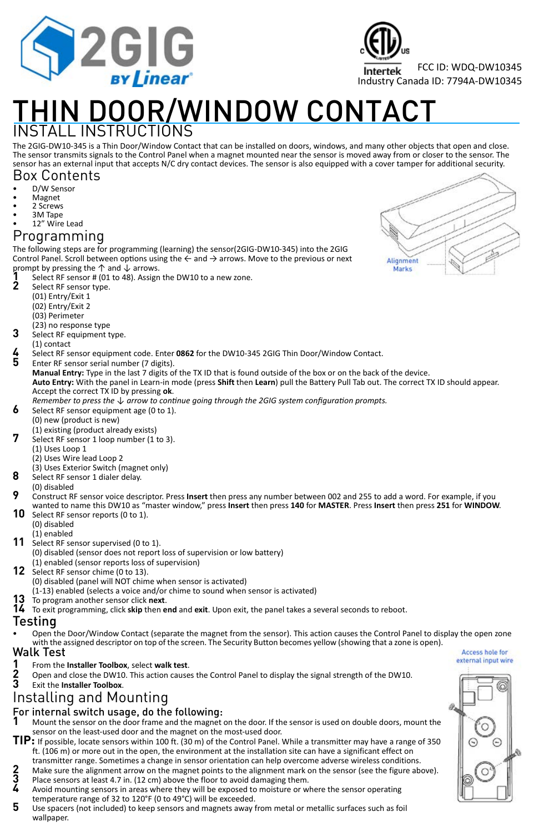

# THIN DOOR/WINDOW CONTACT

### INSTALL INSTRUCTIONS

The 2GIG-DW10-345 is a Thin Door/Window Contact that can be installed on doors, windows, and many other objects that open and close.<br>The sensor transmits signals to the Control Panel when a magnet mounted near the sensor i sensor has an external input that accepts N/C dry contact devices. The sensor is also equipped with a cover tamper for additional security.

#### Box Contents

- D/W Sensor
- Magnet
- 2 Screws
- 3M Tape

#### 12" Wire Lead

#### Programming

The following steps are for programming (learning) the sensor(2GIG‐DW10‐345) into the 2GIG Control Panel. Scroll between options using the  $\leftarrow$  and  $\rightarrow$  arrows. Move to the previous or next prompt by pressing the ↑ and ↓ arrows.

- **1** Select RF sensor # (01 to 48). Assign the DW10 to a new zone.<br>**2** Select RF sensor type
	- **2** Select RF sensor type.
	- (01) Entry/Exit 1
	- (02) Entry/Exit 2
	- (03) Perimeter
	- (23) no response type
- **3** Select RF equipment type.
- (1) contact
- **4** Select RF sensor equipment code. Enter **0862** for the DW10‐345 2GIG Thin Door/Window Contact.
	- **5** Enter RF sensor serial number (7 digits).
	- **Manual Entry:** Type in the last 7 digits of the TX ID that is found outside of the box or on the back of the device.
	- **Auto Entry:** With the panel in Learn‐in mode (press **Shift** then **Learn**) pull the Battery Pull Tab out. The correct TX ID should appear. Accept the correct TX ID by pressing **ok**.
- *Remember to press the ↓ arrow to continue going through the 2GIG system configuration prompts.*
- Select RF sensor equipment age (0 to 1).
- (0) new (product is new)
- (1) existing (product already exists)
- Select RF sensor 1 loop number (1 to 3).
	- (1) Uses Loop 1
	- (2) Uses Wire lead Loop 2
- (3) Uses Exterior Switch (magnet only)
- **8** Select RF sensor 1 dialer delay.
- 
- (0) disabled<br>Construct RF sensor voice descriptor. Press **Insert** then press any number between 002 and 255 to add a word. For example, if you wanted to name this DW10 as "master window," press Insert then press 140 for MASTER. Press Insert then press 251 for WINDOW.
- Select RF sensor reports (0 to 1).
	- (0) disabled
	- (1) enabled
- 11 Select RF sensor supervised (0 to 1).
	- (0) disabled (sensor does not report loss of supervision or low battery)
	- (1) enabled (sensor reports loss of supervision)
- **12** Select RF sensor chime (0 to 13).
	- (0) disabled (panel will NOT chime when sensor is activated)
	- (1‐13) enabled (selects a voice and/or chime to sound when sensor is activated)
- **13** To program another sensor click **next**.
- **14** To exit programming, click **skip** then **end** and **exit**. Upon exit, the panel takes a several seconds to reboot.

- Testing<br>• Open the Door/Window Contact (separate the magnet from the sensor). This action causes the Control Panel to display the open zone with the assigned descriptor on top of the screen. The Security Button becomes yellow (showing that a zone is open).<br>**k** Test and the screes hole for
- Walk Test<br>1 From the
- **1** From the **Installer Toolbox**, select **walk test**.
- **2** Open and close the DW10. This action causes the Control Panel to display the signal strength of the DW10.<br>3 Exit the **Installer Toolbox**.
- **3** Exit the **Installer Toolbox**.

## Installing and Mounting

#### For internal switch usage, do the following:

- **1** Mount the sensor on the door frame and the magnet on the door. If the sensor is used on double doors, mount the sensor on the least-used door and the magnet on the most-used door.
- **TIP:** If possible, locate sensors within 100 ft. (30 m) of the Control Panel. While a transmitter may have a range of 350 ft. (106 m) or more out in the open, the environment at the installation site can have a significant effect on transmitter range. Sometimes a change in sensor orientation can help overcome adverse wireless conditions.
- **2** Make sure the alignment arrow on the magnet points to the alignment mark on the sensor (see the figure above).<br>**3** Place sensors at least 4.7 in. (12 cm) above the floor to avoid damaging them.<br>4. Avoid mounting sensor **3** Place sensors at least 4.7 in. (12 cm) above the floor to avoid damaging them.
- **4** Avoid mounting sensors in areas where they will be exposed to moisture or where the sensor operating
- temperature range of 32 to 120°F (0 to 49°C) will be exceeded.
- **5** Use spacers (not included) to keep sensors and magnets away from metal or metallic surfaces such as foil wallpaper.